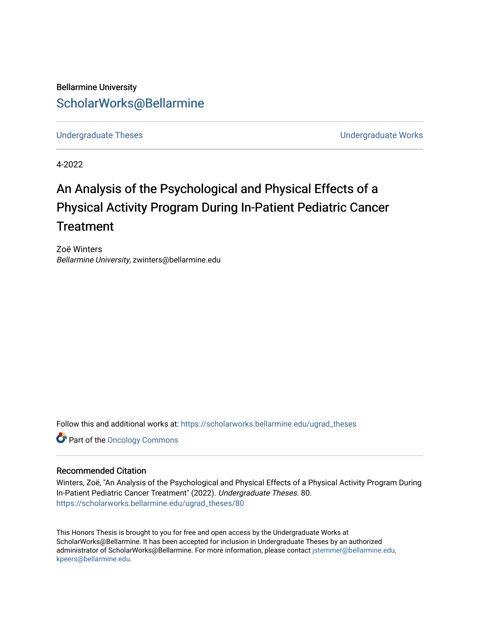Bellarmine University [ScholarWorks@Bellarmine](https://scholarworks.bellarmine.edu/) 

[Undergraduate Theses](https://scholarworks.bellarmine.edu/ugrad_theses) **Undergraduate Undergraduate Works** 

4-2022

# An Analysis of the Psychological and Physical Effects of a Physical Activity Program During In-Patient Pediatric Cancer **Treatment**

Zoë Winters Bellarmine University, zwinters@bellarmine.edu

Follow this and additional works at: [https://scholarworks.bellarmine.edu/ugrad\\_theses](https://scholarworks.bellarmine.edu/ugrad_theses?utm_source=scholarworks.bellarmine.edu%2Fugrad_theses%2F80&utm_medium=PDF&utm_campaign=PDFCoverPages) 

**Part of the Oncology Commons** 

## Recommended Citation

Winters, Zoë, "An Analysis of the Psychological and Physical Effects of a Physical Activity Program During In-Patient Pediatric Cancer Treatment" (2022). Undergraduate Theses. 80. [https://scholarworks.bellarmine.edu/ugrad\\_theses/80](https://scholarworks.bellarmine.edu/ugrad_theses/80?utm_source=scholarworks.bellarmine.edu%2Fugrad_theses%2F80&utm_medium=PDF&utm_campaign=PDFCoverPages) 

This Honors Thesis is brought to you for free and open access by the Undergraduate Works at ScholarWorks@Bellarmine. It has been accepted for inclusion in Undergraduate Theses by an authorized administrator of ScholarWorks@Bellarmine. For more information, please contact [jstemmer@bellarmine.edu,](mailto:jstemmer@bellarmine.edu,%20kpeers@bellarmine.edu)  [kpeers@bellarmine.edu](mailto:jstemmer@bellarmine.edu,%20kpeers@bellarmine.edu).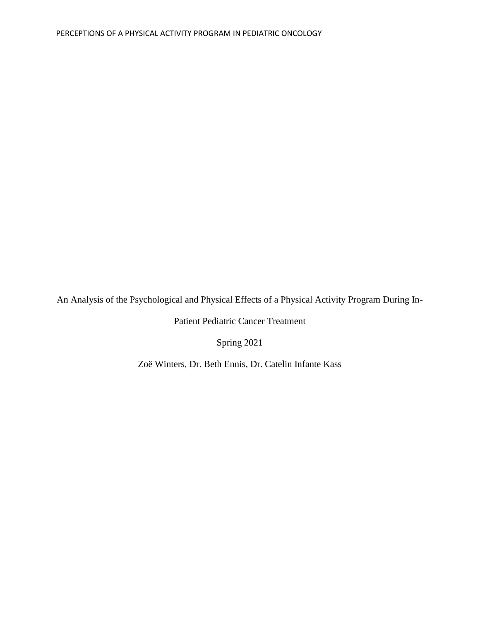An Analysis of the Psychological and Physical Effects of a Physical Activity Program During In-

Patient Pediatric Cancer Treatment

Spring 2021

Zoë Winters, Dr. Beth Ennis, Dr. Catelin Infante Kass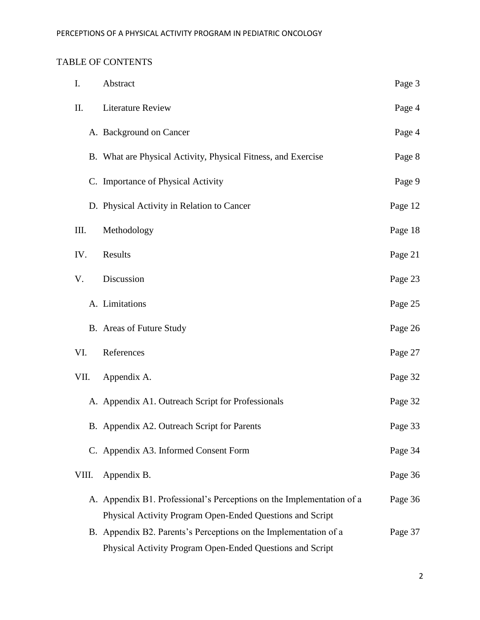## TABLE OF CONTENTS

| I.    | Abstract                                                              | Page 3  |
|-------|-----------------------------------------------------------------------|---------|
| Π.    | <b>Literature Review</b>                                              | Page 4  |
|       | A. Background on Cancer                                               | Page 4  |
|       | B. What are Physical Activity, Physical Fitness, and Exercise         | Page 8  |
|       | C. Importance of Physical Activity                                    | Page 9  |
|       | D. Physical Activity in Relation to Cancer                            | Page 12 |
| Ш.    | Methodology                                                           | Page 18 |
| IV.   | Results                                                               | Page 21 |
| V.    | Discussion                                                            | Page 23 |
|       | A. Limitations                                                        | Page 25 |
|       | B. Areas of Future Study                                              | Page 26 |
| VI.   | References                                                            | Page 27 |
| VII.  | Appendix A.                                                           | Page 32 |
|       | A. Appendix A1. Outreach Script for Professionals                     | Page 32 |
|       | B. Appendix A2. Outreach Script for Parents                           | Page 33 |
|       | C. Appendix A3. Informed Consent Form                                 | Page 34 |
| VIII. | Appendix B.                                                           | Page 36 |
|       | A. Appendix B1. Professional's Perceptions on the Implementation of a | Page 36 |
|       | Physical Activity Program Open-Ended Questions and Script             |         |
|       | B. Appendix B2. Parents's Perceptions on the Implementation of a      | Page 37 |
|       | Physical Activity Program Open-Ended Questions and Script             |         |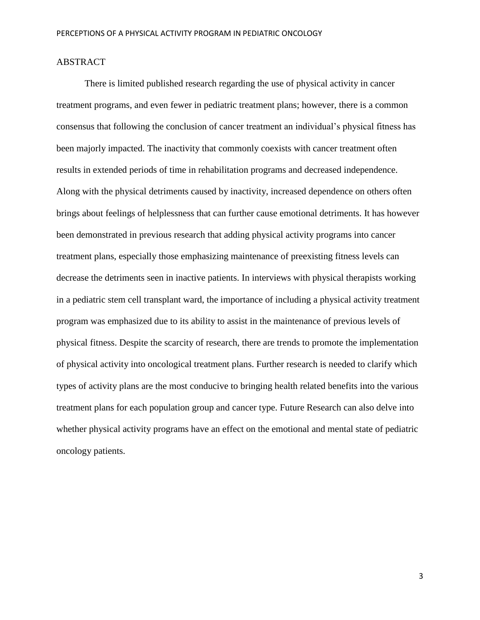## ABSTRACT

There is limited published research regarding the use of physical activity in cancer treatment programs, and even fewer in pediatric treatment plans; however, there is a common consensus that following the conclusion of cancer treatment an individual's physical fitness has been majorly impacted. The inactivity that commonly coexists with cancer treatment often results in extended periods of time in rehabilitation programs and decreased independence. Along with the physical detriments caused by inactivity, increased dependence on others often brings about feelings of helplessness that can further cause emotional detriments. It has however been demonstrated in previous research that adding physical activity programs into cancer treatment plans, especially those emphasizing maintenance of preexisting fitness levels can decrease the detriments seen in inactive patients. In interviews with physical therapists working in a pediatric stem cell transplant ward, the importance of including a physical activity treatment program was emphasized due to its ability to assist in the maintenance of previous levels of physical fitness. Despite the scarcity of research, there are trends to promote the implementation of physical activity into oncological treatment plans. Further research is needed to clarify which types of activity plans are the most conducive to bringing health related benefits into the various treatment plans for each population group and cancer type. Future Research can also delve into whether physical activity programs have an effect on the emotional and mental state of pediatric oncology patients.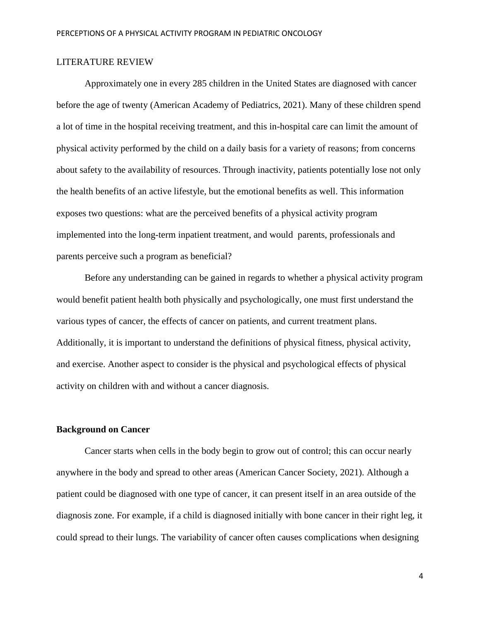## LITERATURE REVIEW

Approximately one in every 285 children in the United States are diagnosed with cancer before the age of twenty (American Academy of Pediatrics, 2021). Many of these children spend a lot of time in the hospital receiving treatment, and this in-hospital care can limit the amount of physical activity performed by the child on a daily basis for a variety of reasons; from concerns about safety to the availability of resources. Through inactivity, patients potentially lose not only the health benefits of an active lifestyle, but the emotional benefits as well. This information exposes two questions: what are the perceived benefits of a physical activity program implemented into the long-term inpatient treatment, and would parents, professionals and parents perceive such a program as beneficial?

Before any understanding can be gained in regards to whether a physical activity program would benefit patient health both physically and psychologically, one must first understand the various types of cancer, the effects of cancer on patients, and current treatment plans. Additionally, it is important to understand the definitions of physical fitness, physical activity, and exercise. Another aspect to consider is the physical and psychological effects of physical activity on children with and without a cancer diagnosis.

## **Background on Cancer**

Cancer starts when cells in the body begin to grow out of control; this can occur nearly anywhere in the body and spread to other areas (American Cancer Society, 2021). Although a patient could be diagnosed with one type of cancer, it can present itself in an area outside of the diagnosis zone. For example, if a child is diagnosed initially with bone cancer in their right leg, it could spread to their lungs. The variability of cancer often causes complications when designing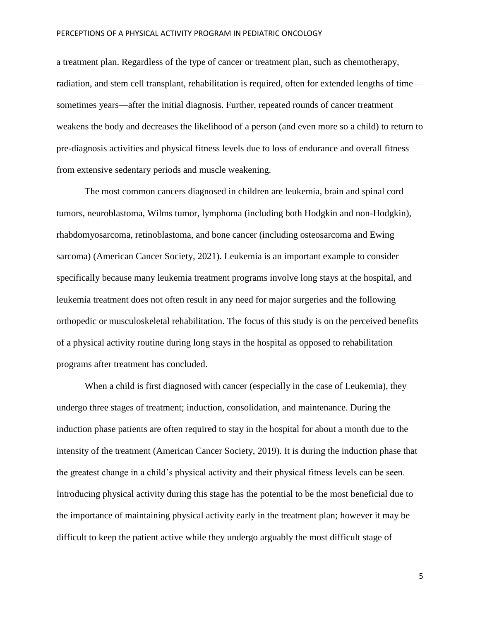a treatment plan. Regardless of the type of cancer or treatment plan, such as chemotherapy, radiation, and stem cell transplant, rehabilitation is required, often for extended lengths of time sometimes years—after the initial diagnosis. Further, repeated rounds of cancer treatment weakens the body and decreases the likelihood of a person (and even more so a child) to return to pre-diagnosis activities and physical fitness levels due to loss of endurance and overall fitness from extensive sedentary periods and muscle weakening.

The most common cancers diagnosed in children are leukemia, brain and spinal cord tumors, neuroblastoma, Wilms tumor, lymphoma (including both Hodgkin and non-Hodgkin), rhabdomyosarcoma, retinoblastoma, and bone cancer (including osteosarcoma and Ewing sarcoma) (American Cancer Society, 2021). Leukemia is an important example to consider specifically because many leukemia treatment programs involve long stays at the hospital, and leukemia treatment does not often result in any need for major surgeries and the following orthopedic or musculoskeletal rehabilitation. The focus of this study is on the perceived benefits of a physical activity routine during long stays in the hospital as opposed to rehabilitation programs after treatment has concluded.

When a child is first diagnosed with cancer (especially in the case of Leukemia), they undergo three stages of treatment; induction, consolidation, and maintenance. During the induction phase patients are often required to stay in the hospital for about a month due to the intensity of the treatment (American Cancer Society, 2019). It is during the induction phase that the greatest change in a child's physical activity and their physical fitness levels can be seen. Introducing physical activity during this stage has the potential to be the most beneficial due to the importance of maintaining physical activity early in the treatment plan; however it may be difficult to keep the patient active while they undergo arguably the most difficult stage of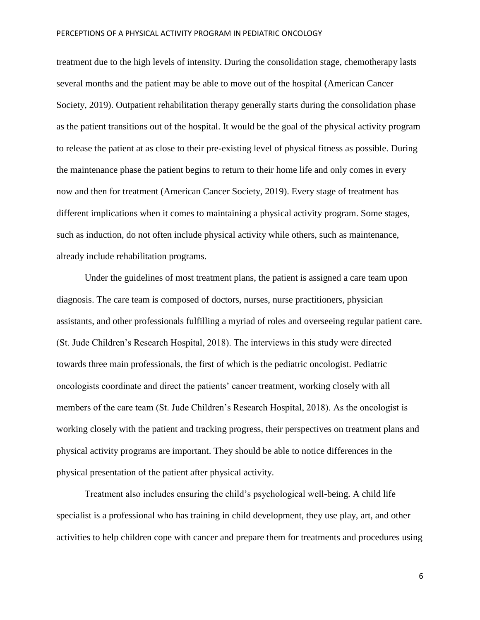treatment due to the high levels of intensity. During the consolidation stage, chemotherapy lasts several months and the patient may be able to move out of the hospital (American Cancer Society, 2019). Outpatient rehabilitation therapy generally starts during the consolidation phase as the patient transitions out of the hospital. It would be the goal of the physical activity program to release the patient at as close to their pre-existing level of physical fitness as possible. During the maintenance phase the patient begins to return to their home life and only comes in every now and then for treatment (American Cancer Society, 2019). Every stage of treatment has different implications when it comes to maintaining a physical activity program. Some stages, such as induction, do not often include physical activity while others, such as maintenance, already include rehabilitation programs.

Under the guidelines of most treatment plans, the patient is assigned a care team upon diagnosis. The care team is composed of doctors, nurses, nurse practitioners, physician assistants, and other professionals fulfilling a myriad of roles and overseeing regular patient care. (St. Jude Children's Research Hospital, 2018). The interviews in this study were directed towards three main professionals, the first of which is the pediatric oncologist. Pediatric oncologists coordinate and direct the patients' cancer treatment, working closely with all members of the care team (St. Jude Children's Research Hospital, 2018). As the oncologist is working closely with the patient and tracking progress, their perspectives on treatment plans and physical activity programs are important. They should be able to notice differences in the physical presentation of the patient after physical activity.

Treatment also includes ensuring the child's psychological well-being. A child life specialist is a professional who has training in child development, they use play, art, and other activities to help children cope with cancer and prepare them for treatments and procedures using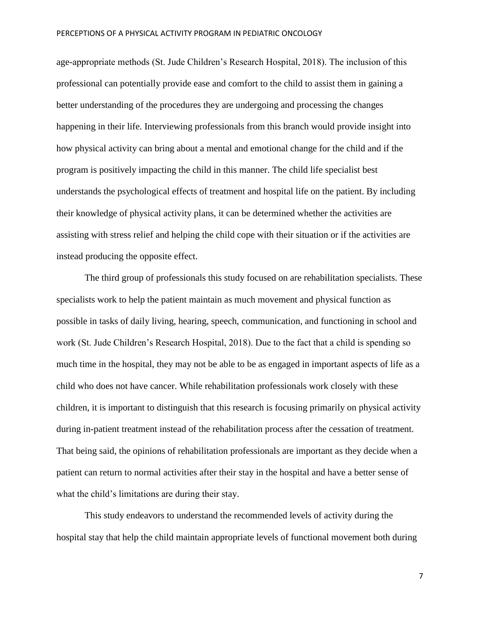age-appropriate methods (St. Jude Children's Research Hospital, 2018). The inclusion of this professional can potentially provide ease and comfort to the child to assist them in gaining a better understanding of the procedures they are undergoing and processing the changes happening in their life. Interviewing professionals from this branch would provide insight into how physical activity can bring about a mental and emotional change for the child and if the program is positively impacting the child in this manner. The child life specialist best understands the psychological effects of treatment and hospital life on the patient. By including their knowledge of physical activity plans, it can be determined whether the activities are assisting with stress relief and helping the child cope with their situation or if the activities are instead producing the opposite effect.

The third group of professionals this study focused on are rehabilitation specialists. These specialists work to help the patient maintain as much movement and physical function as possible in tasks of daily living, hearing, speech, communication, and functioning in school and work (St. Jude Children's Research Hospital, 2018). Due to the fact that a child is spending so much time in the hospital, they may not be able to be as engaged in important aspects of life as a child who does not have cancer. While rehabilitation professionals work closely with these children, it is important to distinguish that this research is focusing primarily on physical activity during in-patient treatment instead of the rehabilitation process after the cessation of treatment. That being said, the opinions of rehabilitation professionals are important as they decide when a patient can return to normal activities after their stay in the hospital and have a better sense of what the child's limitations are during their stay.

This study endeavors to understand the recommended levels of activity during the hospital stay that help the child maintain appropriate levels of functional movement both during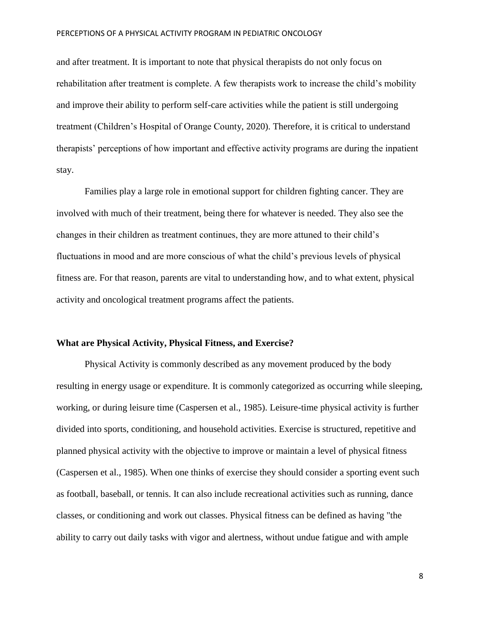and after treatment. It is important to note that physical therapists do not only focus on rehabilitation after treatment is complete. A few therapists work to increase the child's mobility and improve their ability to perform self-care activities while the patient is still undergoing treatment (Children's Hospital of Orange County, 2020). Therefore, it is critical to understand therapists' perceptions of how important and effective activity programs are during the inpatient stay.

Families play a large role in emotional support for children fighting cancer. They are involved with much of their treatment, being there for whatever is needed. They also see the changes in their children as treatment continues, they are more attuned to their child's fluctuations in mood and are more conscious of what the child's previous levels of physical fitness are. For that reason, parents are vital to understanding how, and to what extent, physical activity and oncological treatment programs affect the patients.

## **What are Physical Activity, Physical Fitness, and Exercise?**

Physical Activity is commonly described as any movement produced by the body resulting in energy usage or expenditure. It is commonly categorized as occurring while sleeping, working, or during leisure time (Caspersen et al., 1985). Leisure-time physical activity is further divided into sports, conditioning, and household activities. Exercise is structured, repetitive and planned physical activity with the objective to improve or maintain a level of physical fitness (Caspersen et al., 1985). When one thinks of exercise they should consider a sporting event such as football, baseball, or tennis. It can also include recreational activities such as running, dance classes, or conditioning and work out classes. Physical fitness can be defined as having "the ability to carry out daily tasks with vigor and alertness, without undue fatigue and with ample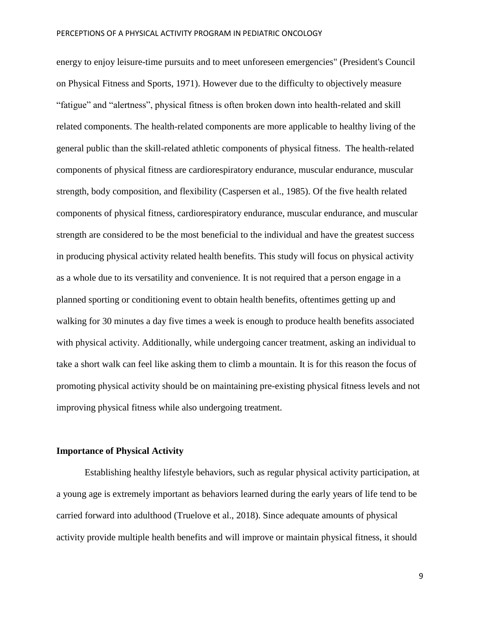energy to enjoy leisure-time pursuits and to meet unforeseen emergencies" (President's Council on Physical Fitness and Sports, 1971). However due to the difficulty to objectively measure "fatigue" and "alertness", physical fitness is often broken down into health-related and skill related components. The health-related components are more applicable to healthy living of the general public than the skill-related athletic components of physical fitness. The health-related components of physical fitness are cardiorespiratory endurance, muscular endurance, muscular strength, body composition, and flexibility (Caspersen et al., 1985). Of the five health related components of physical fitness, cardiorespiratory endurance, muscular endurance, and muscular strength are considered to be the most beneficial to the individual and have the greatest success in producing physical activity related health benefits. This study will focus on physical activity as a whole due to its versatility and convenience. It is not required that a person engage in a planned sporting or conditioning event to obtain health benefits, oftentimes getting up and walking for 30 minutes a day five times a week is enough to produce health benefits associated with physical activity. Additionally, while undergoing cancer treatment, asking an individual to take a short walk can feel like asking them to climb a mountain. It is for this reason the focus of promoting physical activity should be on maintaining pre-existing physical fitness levels and not improving physical fitness while also undergoing treatment.

## **Importance of Physical Activity**

Establishing healthy lifestyle behaviors, such as regular physical activity participation, at a young age is extremely important as behaviors learned during the early years of life tend to be carried forward into adulthood (Truelove et al., 2018). Since adequate amounts of physical activity provide multiple health benefits and will improve or maintain physical fitness, it should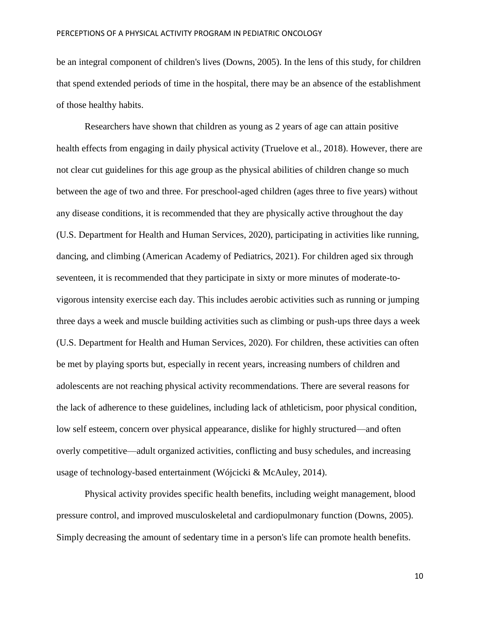be an integral component of children's lives (Downs, 2005). In the lens of this study, for children that spend extended periods of time in the hospital, there may be an absence of the establishment of those healthy habits.

Researchers have shown that children as young as 2 years of age can attain positive health effects from engaging in daily physical activity (Truelove et al., 2018). However, there are not clear cut guidelines for this age group as the physical abilities of children change so much between the age of two and three. For preschool-aged children (ages three to five years) without any disease conditions, it is recommended that they are physically active throughout the day (U.S. Department for Health and Human Services, 2020), participating in activities like running, dancing, and climbing (American Academy of Pediatrics, 2021). For children aged six through seventeen, it is recommended that they participate in sixty or more minutes of moderate-tovigorous intensity exercise each day. This includes aerobic activities such as running or jumping three days a week and muscle building activities such as climbing or push-ups three days a week (U.S. Department for Health and Human Services, 2020). For children, these activities can often be met by playing sports but, especially in recent years, increasing numbers of children and adolescents are not reaching physical activity recommendations. There are several reasons for the lack of adherence to these guidelines, including lack of athleticism, poor physical condition, low self esteem, concern over physical appearance, dislike for highly structured—and often overly competitive—adult organized activities, conflicting and busy schedules, and increasing usage of technology-based entertainment (Wójcicki & McAuley, 2014).

Physical activity provides specific health benefits, including weight management, blood pressure control, and improved musculoskeletal and cardiopulmonary function (Downs, 2005). Simply decreasing the amount of sedentary time in a person's life can promote health benefits.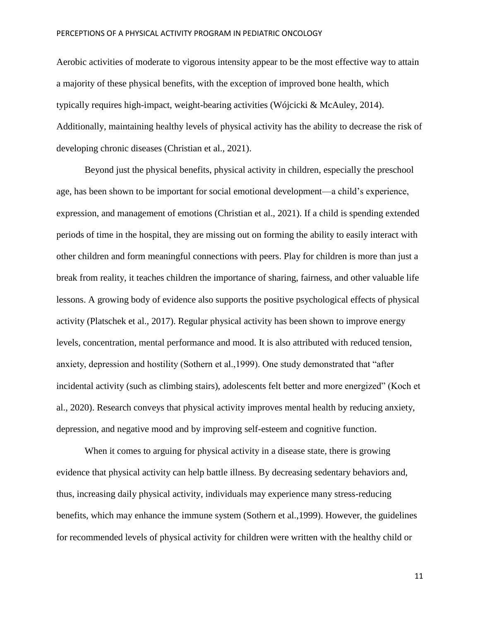Aerobic activities of moderate to vigorous intensity appear to be the most effective way to attain a majority of these physical benefits, with the exception of improved bone health, which typically requires high-impact, weight-bearing activities (Wójcicki & McAuley, 2014). Additionally, maintaining healthy levels of physical activity has the ability to decrease the risk of developing chronic diseases (Christian et al., 2021).

Beyond just the physical benefits, physical activity in children, especially the preschool age, has been shown to be important for social emotional development—a child's experience, expression, and management of emotions (Christian et al., 2021). If a child is spending extended periods of time in the hospital, they are missing out on forming the ability to easily interact with other children and form meaningful connections with peers. Play for children is more than just a break from reality, it teaches children the importance of sharing, fairness, and other valuable life lessons. A growing body of evidence also supports the positive psychological effects of physical activity (Platschek et al., 2017). Regular physical activity has been shown to improve energy levels, concentration, mental performance and mood. It is also attributed with reduced tension, anxiety, depression and hostility (Sothern et al.,1999). One study demonstrated that "after incidental activity (such as climbing stairs), adolescents felt better and more energized" (Koch et al., 2020). Research conveys that physical activity improves mental health by reducing anxiety, depression, and negative mood and by improving self-esteem and cognitive function.

When it comes to arguing for physical activity in a disease state, there is growing evidence that physical activity can help battle illness. By decreasing sedentary behaviors and, thus, increasing daily physical activity, individuals may experience many stress-reducing benefits, which may enhance the immune system (Sothern et al.,1999). However, the guidelines for recommended levels of physical activity for children were written with the healthy child or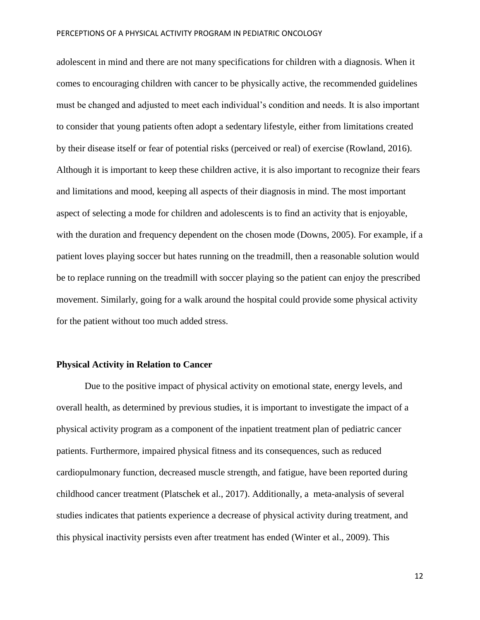adolescent in mind and there are not many specifications for children with a diagnosis. When it comes to encouraging children with cancer to be physically active, the recommended guidelines must be changed and adjusted to meet each individual's condition and needs. It is also important to consider that young patients often adopt a sedentary lifestyle, either from limitations created by their disease itself or fear of potential risks (perceived or real) of exercise (Rowland, 2016). Although it is important to keep these children active, it is also important to recognize their fears and limitations and mood, keeping all aspects of their diagnosis in mind. The most important aspect of selecting a mode for children and adolescents is to find an activity that is enjoyable, with the duration and frequency dependent on the chosen mode (Downs, 2005). For example, if a patient loves playing soccer but hates running on the treadmill, then a reasonable solution would be to replace running on the treadmill with soccer playing so the patient can enjoy the prescribed movement. Similarly, going for a walk around the hospital could provide some physical activity for the patient without too much added stress.

#### **Physical Activity in Relation to Cancer**

Due to the positive impact of physical activity on emotional state, energy levels, and overall health, as determined by previous studies, it is important to investigate the impact of a physical activity program as a component of the inpatient treatment plan of pediatric cancer patients. Furthermore, impaired physical fitness and its consequences, such as reduced cardiopulmonary function, decreased muscle strength, and fatigue, have been reported during childhood cancer treatment (Platschek et al., 2017). Additionally, a meta-analysis of several studies indicates that patients experience a decrease of physical activity during treatment, and this physical inactivity persists even after treatment has ended (Winter et al., 2009). This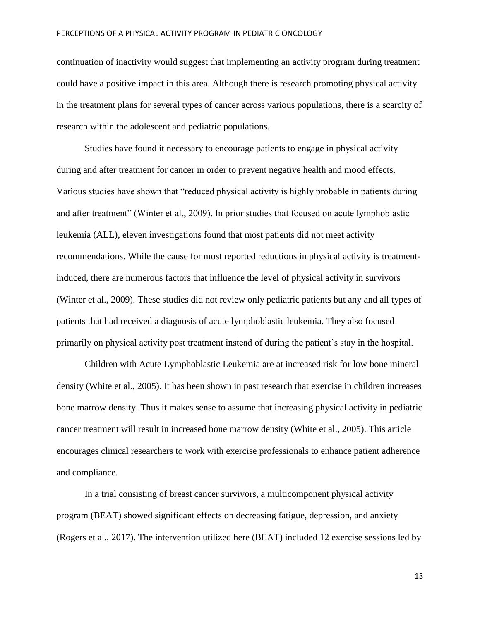continuation of inactivity would suggest that implementing an activity program during treatment could have a positive impact in this area. Although there is research promoting physical activity in the treatment plans for several types of cancer across various populations, there is a scarcity of research within the adolescent and pediatric populations.

Studies have found it necessary to encourage patients to engage in physical activity during and after treatment for cancer in order to prevent negative health and mood effects. Various studies have shown that "reduced physical activity is highly probable in patients during and after treatment" (Winter et al., 2009). In prior studies that focused on acute lymphoblastic leukemia (ALL), eleven investigations found that most patients did not meet activity recommendations. While the cause for most reported reductions in physical activity is treatmentinduced, there are numerous factors that influence the level of physical activity in survivors (Winter et al., 2009). These studies did not review only pediatric patients but any and all types of patients that had received a diagnosis of acute lymphoblastic leukemia. They also focused primarily on physical activity post treatment instead of during the patient's stay in the hospital.

Children with Acute Lymphoblastic Leukemia are at increased risk for low bone mineral density (White et al., 2005). It has been shown in past research that exercise in children increases bone marrow density. Thus it makes sense to assume that increasing physical activity in pediatric cancer treatment will result in increased bone marrow density (White et al., 2005). This article encourages clinical researchers to work with exercise professionals to enhance patient adherence and compliance.

In a trial consisting of breast cancer survivors, a multicomponent physical activity program (BEAT) showed significant effects on decreasing fatigue, depression, and anxiety (Rogers et al., 2017). The intervention utilized here (BEAT) included 12 exercise sessions led by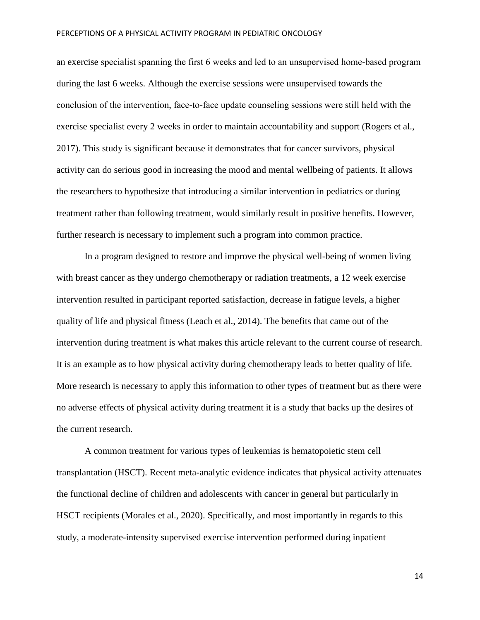an exercise specialist spanning the first 6 weeks and led to an unsupervised home‐based program during the last 6 weeks. Although the exercise sessions were unsupervised towards the conclusion of the intervention, face‐to‐face update counseling sessions were still held with the exercise specialist every 2 weeks in order to maintain accountability and support (Rogers et al., 2017). This study is significant because it demonstrates that for cancer survivors, physical activity can do serious good in increasing the mood and mental wellbeing of patients. It allows the researchers to hypothesize that introducing a similar intervention in pediatrics or during treatment rather than following treatment, would similarly result in positive benefits. However, further research is necessary to implement such a program into common practice.

In a program designed to restore and improve the physical well-being of women living with breast cancer as they undergo chemotherapy or radiation treatments, a 12 week exercise intervention resulted in participant reported satisfaction, decrease in fatigue levels, a higher quality of life and physical fitness (Leach et al., 2014). The benefits that came out of the intervention during treatment is what makes this article relevant to the current course of research. It is an example as to how physical activity during chemotherapy leads to better quality of life. More research is necessary to apply this information to other types of treatment but as there were no adverse effects of physical activity during treatment it is a study that backs up the desires of the current research.

A common treatment for various types of leukemias is hematopoietic stem cell transplantation (HSCT). Recent meta-analytic evidence indicates that physical activity attenuates the functional decline of children and adolescents with cancer in general but particularly in HSCT recipients (Morales et al., 2020). Specifically, and most importantly in regards to this study, a moderate-intensity supervised exercise intervention performed during inpatient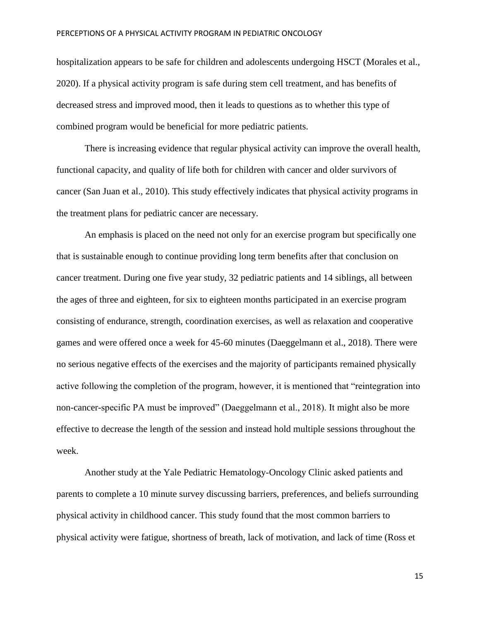hospitalization appears to be safe for children and adolescents undergoing HSCT (Morales et al., 2020). If a physical activity program is safe during stem cell treatment, and has benefits of decreased stress and improved mood, then it leads to questions as to whether this type of combined program would be beneficial for more pediatric patients.

There is increasing evidence that regular physical activity can improve the overall health, functional capacity, and quality of life both for children with cancer and older survivors of cancer (San Juan et al., 2010). This study effectively indicates that physical activity programs in the treatment plans for pediatric cancer are necessary.

An emphasis is placed on the need not only for an exercise program but specifically one that is sustainable enough to continue providing long term benefits after that conclusion on cancer treatment. During one five year study, 32 pediatric patients and 14 siblings, all between the ages of three and eighteen, for six to eighteen months participated in an exercise program consisting of endurance, strength, coordination exercises, as well as relaxation and cooperative games and were offered once a week for 45-60 minutes (Daeggelmann et al., 2018). There were no serious negative effects of the exercises and the majority of participants remained physically active following the completion of the program, however, it is mentioned that "reintegration into non-cancer-specific PA must be improved" (Daeggelmann et al., 2018). It might also be more effective to decrease the length of the session and instead hold multiple sessions throughout the week.

Another study at the Yale Pediatric Hematology-Oncology Clinic asked patients and parents to complete a 10 minute survey discussing barriers, preferences, and beliefs surrounding physical activity in childhood cancer. This study found that the most common barriers to physical activity were fatigue, shortness of breath, lack of motivation, and lack of time (Ross et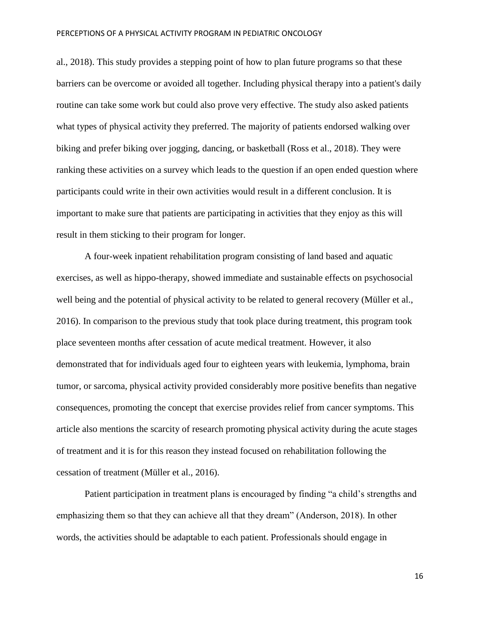al., 2018). This study provides a stepping point of how to plan future programs so that these barriers can be overcome or avoided all together. Including physical therapy into a patient's daily routine can take some work but could also prove very effective. The study also asked patients what types of physical activity they preferred. The majority of patients endorsed walking over biking and prefer biking over jogging, dancing, or basketball (Ross et al., 2018). They were ranking these activities on a survey which leads to the question if an open ended question where participants could write in their own activities would result in a different conclusion. It is important to make sure that patients are participating in activities that they enjoy as this will result in them sticking to their program for longer.

A four-week inpatient rehabilitation program consisting of land based and aquatic exercises, as well as hippo-therapy, showed immediate and sustainable effects on psychosocial well being and the potential of physical activity to be related to general recovery (Müller et al., 2016). In comparison to the previous study that took place during treatment, this program took place seventeen months after cessation of acute medical treatment. However, it also demonstrated that for individuals aged four to eighteen years with leukemia, lymphoma, brain tumor, or sarcoma, physical activity provided considerably more positive benefits than negative consequences, promoting the concept that exercise provides relief from cancer symptoms. This article also mentions the scarcity of research promoting physical activity during the acute stages of treatment and it is for this reason they instead focused on rehabilitation following the cessation of treatment (Müller et al., 2016).

Patient participation in treatment plans is encouraged by finding "a child's strengths and emphasizing them so that they can achieve all that they dream" (Anderson, 2018). In other words, the activities should be adaptable to each patient. Professionals should engage in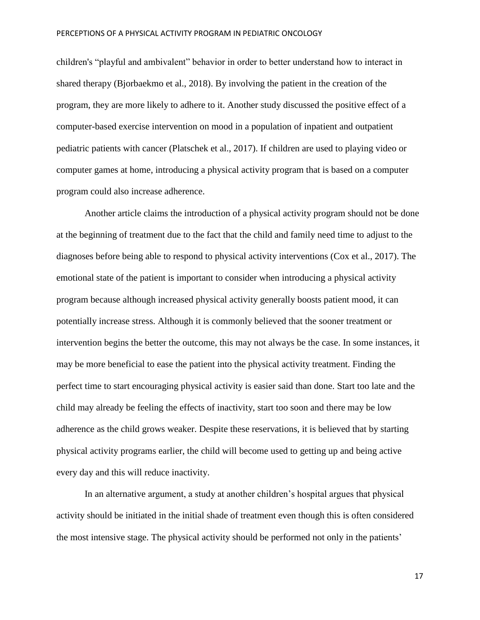children's "playful and ambivalent" behavior in order to better understand how to interact in shared therapy (Bjorbaekmo et al., 2018). By involving the patient in the creation of the program, they are more likely to adhere to it. Another study discussed the positive effect of a computer-based exercise intervention on mood in a population of inpatient and outpatient pediatric patients with cancer (Platschek et al., 2017). If children are used to playing video or computer games at home, introducing a physical activity program that is based on a computer program could also increase adherence.

Another article claims the introduction of a physical activity program should not be done at the beginning of treatment due to the fact that the child and family need time to adjust to the diagnoses before being able to respond to physical activity interventions (Cox et al., 2017). The emotional state of the patient is important to consider when introducing a physical activity program because although increased physical activity generally boosts patient mood, it can potentially increase stress. Although it is commonly believed that the sooner treatment or intervention begins the better the outcome, this may not always be the case. In some instances, it may be more beneficial to ease the patient into the physical activity treatment. Finding the perfect time to start encouraging physical activity is easier said than done. Start too late and the child may already be feeling the effects of inactivity, start too soon and there may be low adherence as the child grows weaker. Despite these reservations, it is believed that by starting physical activity programs earlier, the child will become used to getting up and being active every day and this will reduce inactivity.

In an alternative argument, a study at another children's hospital argues that physical activity should be initiated in the initial shade of treatment even though this is often considered the most intensive stage. The physical activity should be performed not only in the patients'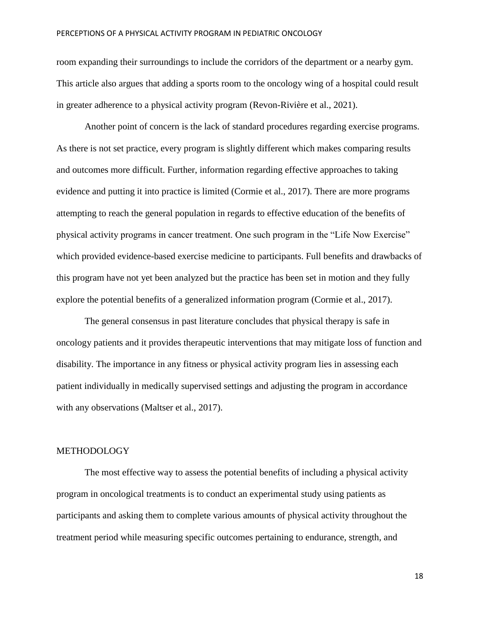room expanding their surroundings to include the corridors of the department or a nearby gym. This article also argues that adding a sports room to the oncology wing of a hospital could result in greater adherence to a physical activity program (Revon-Rivière et al., 2021).

Another point of concern is the lack of standard procedures regarding exercise programs. As there is not set practice, every program is slightly different which makes comparing results and outcomes more difficult. Further, information regarding effective approaches to taking evidence and putting it into practice is limited (Cormie et al., 2017). There are more programs attempting to reach the general population in regards to effective education of the benefits of physical activity programs in cancer treatment. One such program in the "Life Now Exercise" which provided evidence-based exercise medicine to participants. Full benefits and drawbacks of this program have not yet been analyzed but the practice has been set in motion and they fully explore the potential benefits of a generalized information program (Cormie et al., 2017).

The general consensus in past literature concludes that physical therapy is safe in oncology patients and it provides therapeutic interventions that may mitigate loss of function and disability. The importance in any fitness or physical activity program lies in assessing each patient individually in medically supervised settings and adjusting the program in accordance with any observations (Maltser et al., 2017).

## METHODOLOGY

The most effective way to assess the potential benefits of including a physical activity program in oncological treatments is to conduct an experimental study using patients as participants and asking them to complete various amounts of physical activity throughout the treatment period while measuring specific outcomes pertaining to endurance, strength, and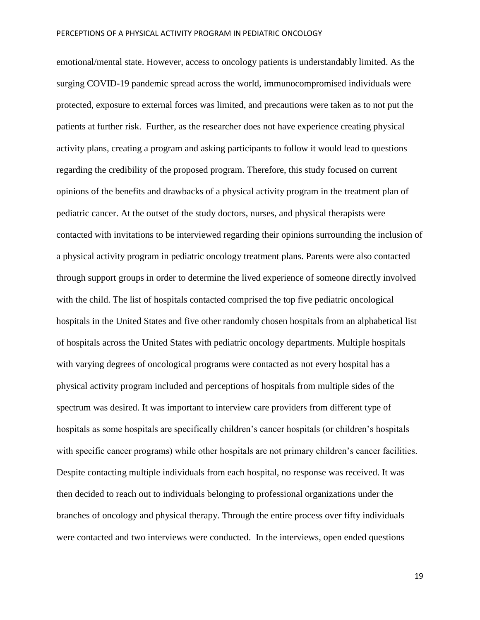emotional/mental state. However, access to oncology patients is understandably limited. As the surging COVID-19 pandemic spread across the world, immunocompromised individuals were protected, exposure to external forces was limited, and precautions were taken as to not put the patients at further risk. Further, as the researcher does not have experience creating physical activity plans, creating a program and asking participants to follow it would lead to questions regarding the credibility of the proposed program. Therefore, this study focused on current opinions of the benefits and drawbacks of a physical activity program in the treatment plan of pediatric cancer. At the outset of the study doctors, nurses, and physical therapists were contacted with invitations to be interviewed regarding their opinions surrounding the inclusion of a physical activity program in pediatric oncology treatment plans. Parents were also contacted through support groups in order to determine the lived experience of someone directly involved with the child. The list of hospitals contacted comprised the top five pediatric oncological hospitals in the United States and five other randomly chosen hospitals from an alphabetical list of hospitals across the United States with pediatric oncology departments. Multiple hospitals with varying degrees of oncological programs were contacted as not every hospital has a physical activity program included and perceptions of hospitals from multiple sides of the spectrum was desired. It was important to interview care providers from different type of hospitals as some hospitals are specifically children's cancer hospitals (or children's hospitals with specific cancer programs) while other hospitals are not primary children's cancer facilities. Despite contacting multiple individuals from each hospital, no response was received. It was then decided to reach out to individuals belonging to professional organizations under the branches of oncology and physical therapy. Through the entire process over fifty individuals were contacted and two interviews were conducted. In the interviews, open ended questions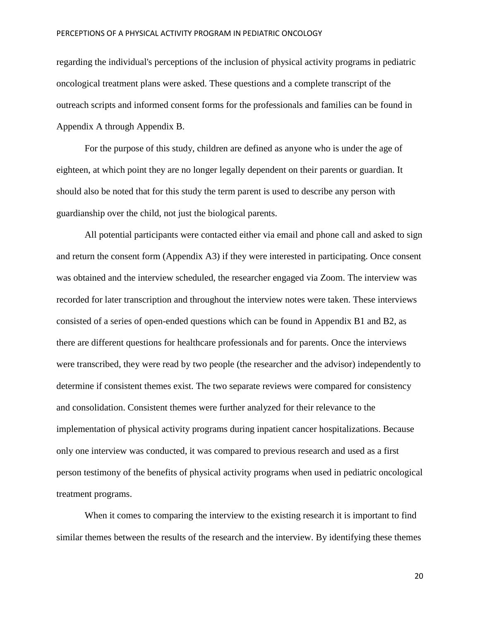regarding the individual's perceptions of the inclusion of physical activity programs in pediatric oncological treatment plans were asked. These questions and a complete transcript of the outreach scripts and informed consent forms for the professionals and families can be found in Appendix A through Appendix B.

For the purpose of this study, children are defined as anyone who is under the age of eighteen, at which point they are no longer legally dependent on their parents or guardian. It should also be noted that for this study the term parent is used to describe any person with guardianship over the child, not just the biological parents.

All potential participants were contacted either via email and phone call and asked to sign and return the consent form (Appendix A3) if they were interested in participating. Once consent was obtained and the interview scheduled, the researcher engaged via Zoom. The interview was recorded for later transcription and throughout the interview notes were taken. These interviews consisted of a series of open-ended questions which can be found in Appendix B1 and B2, as there are different questions for healthcare professionals and for parents. Once the interviews were transcribed, they were read by two people (the researcher and the advisor) independently to determine if consistent themes exist. The two separate reviews were compared for consistency and consolidation. Consistent themes were further analyzed for their relevance to the implementation of physical activity programs during inpatient cancer hospitalizations. Because only one interview was conducted, it was compared to previous research and used as a first person testimony of the benefits of physical activity programs when used in pediatric oncological treatment programs.

When it comes to comparing the interview to the existing research it is important to find similar themes between the results of the research and the interview. By identifying these themes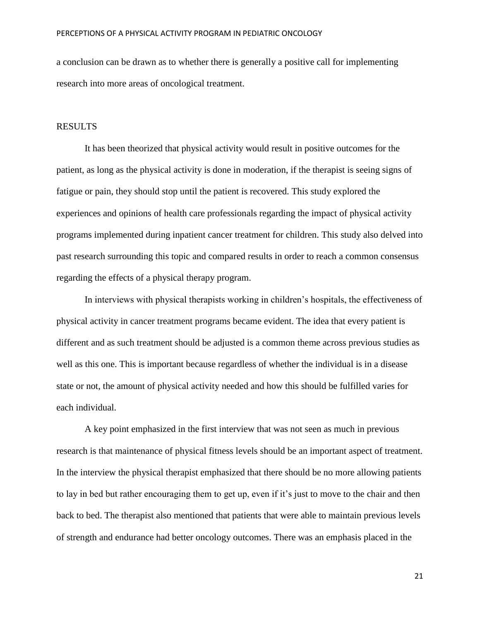a conclusion can be drawn as to whether there is generally a positive call for implementing research into more areas of oncological treatment.

## RESULTS

It has been theorized that physical activity would result in positive outcomes for the patient, as long as the physical activity is done in moderation, if the therapist is seeing signs of fatigue or pain, they should stop until the patient is recovered. This study explored the experiences and opinions of health care professionals regarding the impact of physical activity programs implemented during inpatient cancer treatment for children. This study also delved into past research surrounding this topic and compared results in order to reach a common consensus regarding the effects of a physical therapy program.

In interviews with physical therapists working in children's hospitals, the effectiveness of physical activity in cancer treatment programs became evident. The idea that every patient is different and as such treatment should be adjusted is a common theme across previous studies as well as this one. This is important because regardless of whether the individual is in a disease state or not, the amount of physical activity needed and how this should be fulfilled varies for each individual.

A key point emphasized in the first interview that was not seen as much in previous research is that maintenance of physical fitness levels should be an important aspect of treatment. In the interview the physical therapist emphasized that there should be no more allowing patients to lay in bed but rather encouraging them to get up, even if it's just to move to the chair and then back to bed. The therapist also mentioned that patients that were able to maintain previous levels of strength and endurance had better oncology outcomes. There was an emphasis placed in the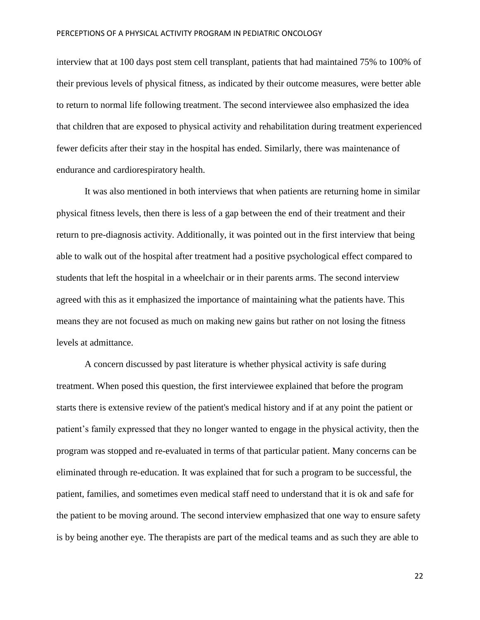interview that at 100 days post stem cell transplant, patients that had maintained 75% to 100% of their previous levels of physical fitness, as indicated by their outcome measures, were better able to return to normal life following treatment. The second interviewee also emphasized the idea that children that are exposed to physical activity and rehabilitation during treatment experienced fewer deficits after their stay in the hospital has ended. Similarly, there was maintenance of endurance and cardiorespiratory health.

It was also mentioned in both interviews that when patients are returning home in similar physical fitness levels, then there is less of a gap between the end of their treatment and their return to pre-diagnosis activity. Additionally, it was pointed out in the first interview that being able to walk out of the hospital after treatment had a positive psychological effect compared to students that left the hospital in a wheelchair or in their parents arms. The second interview agreed with this as it emphasized the importance of maintaining what the patients have. This means they are not focused as much on making new gains but rather on not losing the fitness levels at admittance.

A concern discussed by past literature is whether physical activity is safe during treatment. When posed this question, the first interviewee explained that before the program starts there is extensive review of the patient's medical history and if at any point the patient or patient's family expressed that they no longer wanted to engage in the physical activity, then the program was stopped and re-evaluated in terms of that particular patient. Many concerns can be eliminated through re-education. It was explained that for such a program to be successful, the patient, families, and sometimes even medical staff need to understand that it is ok and safe for the patient to be moving around. The second interview emphasized that one way to ensure safety is by being another eye. The therapists are part of the medical teams and as such they are able to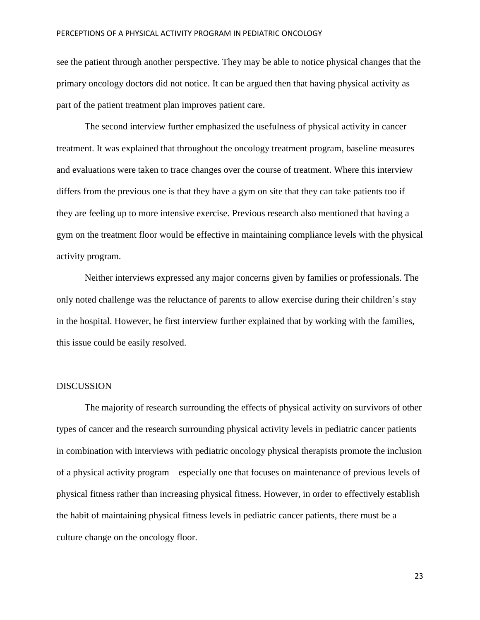see the patient through another perspective. They may be able to notice physical changes that the primary oncology doctors did not notice. It can be argued then that having physical activity as part of the patient treatment plan improves patient care.

The second interview further emphasized the usefulness of physical activity in cancer treatment. It was explained that throughout the oncology treatment program, baseline measures and evaluations were taken to trace changes over the course of treatment. Where this interview differs from the previous one is that they have a gym on site that they can take patients too if they are feeling up to more intensive exercise. Previous research also mentioned that having a gym on the treatment floor would be effective in maintaining compliance levels with the physical activity program.

Neither interviews expressed any major concerns given by families or professionals. The only noted challenge was the reluctance of parents to allow exercise during their children's stay in the hospital. However, he first interview further explained that by working with the families, this issue could be easily resolved.

## DISCUSSION

The majority of research surrounding the effects of physical activity on survivors of other types of cancer and the research surrounding physical activity levels in pediatric cancer patients in combination with interviews with pediatric oncology physical therapists promote the inclusion of a physical activity program—especially one that focuses on maintenance of previous levels of physical fitness rather than increasing physical fitness. However, in order to effectively establish the habit of maintaining physical fitness levels in pediatric cancer patients, there must be a culture change on the oncology floor.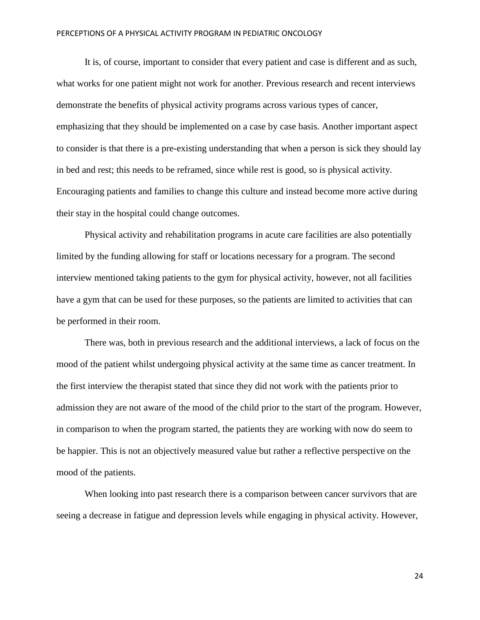It is, of course, important to consider that every patient and case is different and as such, what works for one patient might not work for another. Previous research and recent interviews demonstrate the benefits of physical activity programs across various types of cancer, emphasizing that they should be implemented on a case by case basis. Another important aspect to consider is that there is a pre-existing understanding that when a person is sick they should lay in bed and rest; this needs to be reframed, since while rest is good, so is physical activity. Encouraging patients and families to change this culture and instead become more active during their stay in the hospital could change outcomes.

Physical activity and rehabilitation programs in acute care facilities are also potentially limited by the funding allowing for staff or locations necessary for a program. The second interview mentioned taking patients to the gym for physical activity, however, not all facilities have a gym that can be used for these purposes, so the patients are limited to activities that can be performed in their room.

There was, both in previous research and the additional interviews, a lack of focus on the mood of the patient whilst undergoing physical activity at the same time as cancer treatment. In the first interview the therapist stated that since they did not work with the patients prior to admission they are not aware of the mood of the child prior to the start of the program. However, in comparison to when the program started, the patients they are working with now do seem to be happier. This is not an objectively measured value but rather a reflective perspective on the mood of the patients.

When looking into past research there is a comparison between cancer survivors that are seeing a decrease in fatigue and depression levels while engaging in physical activity. However,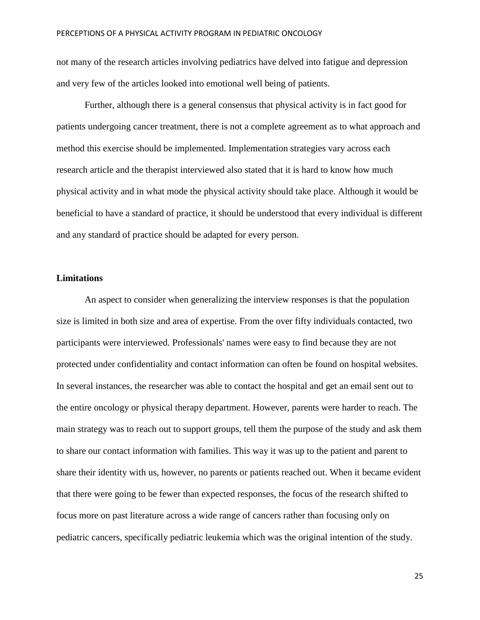not many of the research articles involving pediatrics have delved into fatigue and depression and very few of the articles looked into emotional well being of patients.

Further, although there is a general consensus that physical activity is in fact good for patients undergoing cancer treatment, there is not a complete agreement as to what approach and method this exercise should be implemented. Implementation strategies vary across each research article and the therapist interviewed also stated that it is hard to know how much physical activity and in what mode the physical activity should take place. Although it would be beneficial to have a standard of practice, it should be understood that every individual is different and any standard of practice should be adapted for every person.

## **Limitations**

An aspect to consider when generalizing the interview responses is that the population size is limited in both size and area of expertise. From the over fifty individuals contacted, two participants were interviewed. Professionals' names were easy to find because they are not protected under confidentiality and contact information can often be found on hospital websites. In several instances, the researcher was able to contact the hospital and get an email sent out to the entire oncology or physical therapy department. However, parents were harder to reach. The main strategy was to reach out to support groups, tell them the purpose of the study and ask them to share our contact information with families. This way it was up to the patient and parent to share their identity with us, however, no parents or patients reached out. When it became evident that there were going to be fewer than expected responses, the focus of the research shifted to focus more on past literature across a wide range of cancers rather than focusing only on pediatric cancers, specifically pediatric leukemia which was the original intention of the study.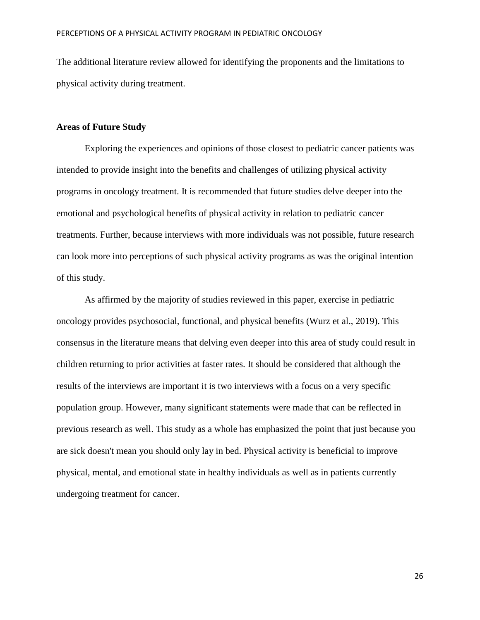The additional literature review allowed for identifying the proponents and the limitations to physical activity during treatment.

## **Areas of Future Study**

Exploring the experiences and opinions of those closest to pediatric cancer patients was intended to provide insight into the benefits and challenges of utilizing physical activity programs in oncology treatment. It is recommended that future studies delve deeper into the emotional and psychological benefits of physical activity in relation to pediatric cancer treatments. Further, because interviews with more individuals was not possible, future research can look more into perceptions of such physical activity programs as was the original intention of this study.

As affirmed by the majority of studies reviewed in this paper, exercise in pediatric oncology provides psychosocial, functional, and physical benefits (Wurz et al., 2019). This consensus in the literature means that delving even deeper into this area of study could result in children returning to prior activities at faster rates. It should be considered that although the results of the interviews are important it is two interviews with a focus on a very specific population group. However, many significant statements were made that can be reflected in previous research as well. This study as a whole has emphasized the point that just because you are sick doesn't mean you should only lay in bed. Physical activity is beneficial to improve physical, mental, and emotional state in healthy individuals as well as in patients currently undergoing treatment for cancer.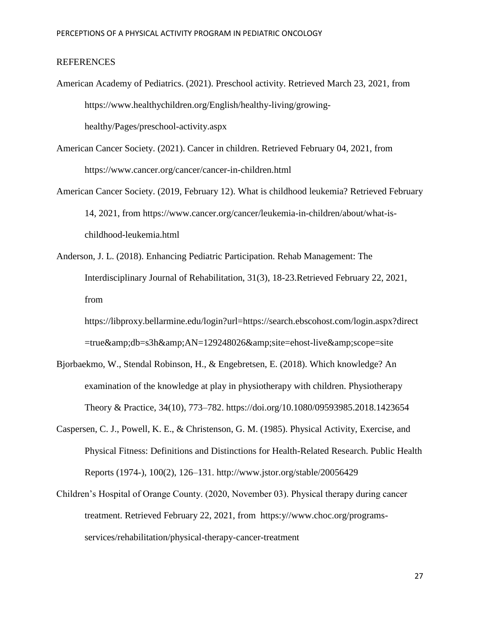## **REFERENCES**

- American Academy of Pediatrics. (2021). Preschool activity. Retrieved March 23, 2021, from https://www.healthychildren.org/English/healthy-living/growinghealthy/Pages/preschool-activity.aspx
- American Cancer Society. (2021). Cancer in children. Retrieved February 04, 2021, from https://www.cancer.org/cancer/cancer-in-children.html
- American Cancer Society. (2019, February 12). What is childhood leukemia? Retrieved February 14, 2021, from https://www.cancer.org/cancer/leukemia-in-children/about/what-ischildhood-leukemia.html
- Anderson, J. L. (2018). Enhancing Pediatric Participation. Rehab Management: The Interdisciplinary Journal of Rehabilitation, 31(3), 18-23.Retrieved February 22, 2021, from

https://libproxy.bellarmine.edu/login?url=https://search.ebscohost.com/login.aspx?direct =true&db=s3h&AN=129248026&site=ehost-live&scope=site

- Bjorbaekmo, W., Stendal Robinson, H., & Engebretsen, E. (2018). Which knowledge? An examination of the knowledge at play in physiotherapy with children. Physiotherapy Theory & Practice, 34(10), 773–782. https://doi.org/10.1080/09593985.2018.1423654
- Caspersen, C. J., Powell, K. E., & Christenson, G. M. (1985). Physical Activity, Exercise, and Physical Fitness: Definitions and Distinctions for Health-Related Research. Public Health Reports (1974-), 100(2), 126–131. http://www.jstor.org/stable/20056429
- Children's Hospital of Orange County. (2020, November 03). Physical therapy during cancer treatment. Retrieved February 22, 2021, from https:y//www.choc.org/programsservices/rehabilitation/physical-therapy-cancer-treatment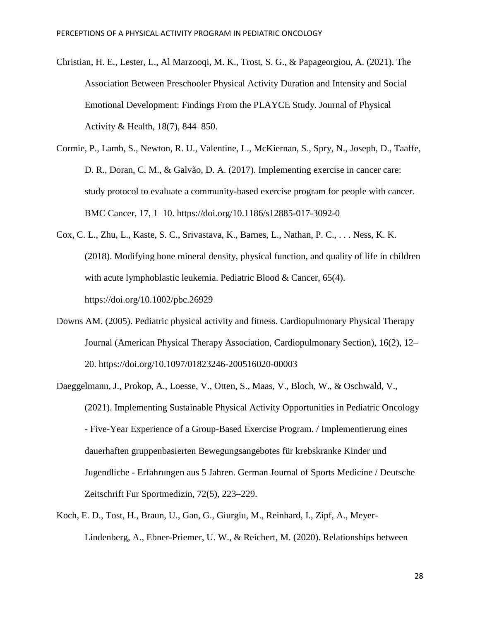- Christian, H. E., Lester, L., Al Marzooqi, M. K., Trost, S. G., & Papageorgiou, A. (2021). The Association Between Preschooler Physical Activity Duration and Intensity and Social Emotional Development: Findings From the PLAYCE Study. Journal of Physical Activity & Health, 18(7), 844–850.
- Cormie, P., Lamb, S., Newton, R. U., Valentine, L., McKiernan, S., Spry, N., Joseph, D., Taaffe, D. R., Doran, C. M., & Galvão, D. A. (2017). Implementing exercise in cancer care: study protocol to evaluate a community-based exercise program for people with cancer. BMC Cancer, 17, 1–10. https://doi.org/10.1186/s12885-017-3092-0
- Cox, C. L., Zhu, L., Kaste, S. C., Srivastava, K., Barnes, L., Nathan, P. C., . . . Ness, K. K. (2018). Modifying bone mineral density, physical function, and quality of life in children with acute lymphoblastic leukemia. Pediatric Blood & Cancer, 65(4). https://doi.org/10.1002/pbc.26929
- Downs AM. (2005). Pediatric physical activity and fitness. Cardiopulmonary Physical Therapy Journal (American Physical Therapy Association, Cardiopulmonary Section), 16(2), 12– 20. https://doi.org/10.1097/01823246-200516020-00003
- Daeggelmann, J., Prokop, A., Loesse, V., Otten, S., Maas, V., Bloch, W., & Oschwald, V., (2021). Implementing Sustainable Physical Activity Opportunities in Pediatric Oncology - Five-Year Experience of a Group-Based Exercise Program. / Implementierung eines dauerhaften gruppenbasierten Bewegungsangebotes für krebskranke Kinder und Jugendliche - Erfahrungen aus 5 Jahren. German Journal of Sports Medicine / Deutsche Zeitschrift Fur Sportmedizin, 72(5), 223–229.
- Koch, E. D., Tost, H., Braun, U., Gan, G., Giurgiu, M., Reinhard, I., Zipf, A., Meyer-Lindenberg, A., Ebner-Priemer, U. W., & Reichert, M. (2020). Relationships between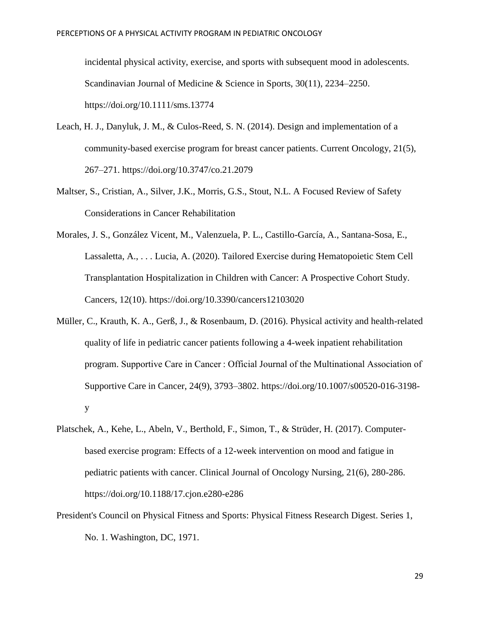incidental physical activity, exercise, and sports with subsequent mood in adolescents. Scandinavian Journal of Medicine & Science in Sports, 30(11), 2234–2250. https://doi.org/10.1111/sms.13774

- Leach, H. J., Danyluk, J. M., & Culos-Reed, S. N. (2014). Design and implementation of a community-based exercise program for breast cancer patients. Current Oncology, 21(5), 267–271. https://doi.org/10.3747/co.21.2079
- Maltser, S., Cristian, A., Silver, J.K., Morris, G.S., Stout, N.L. A Focused Review of Safety Considerations in Cancer Rehabilitation
- Morales, J. S., González Vicent, M., Valenzuela, P. L., Castillo-García, A., Santana-Sosa, E., Lassaletta, A., . . . Lucia, A. (2020). Tailored Exercise during Hematopoietic Stem Cell Transplantation Hospitalization in Children with Cancer: A Prospective Cohort Study. Cancers, 12(10). https://doi.org/10.3390/cancers12103020
- Müller, C., Krauth, K. A., Gerß, J., & Rosenbaum, D. (2016). Physical activity and health-related quality of life in pediatric cancer patients following a 4-week inpatient rehabilitation program. Supportive Care in Cancer : Official Journal of the Multinational Association of Supportive Care in Cancer, 24(9), 3793–3802. https://doi.org/10.1007/s00520-016-3198 y
- Platschek, A., Kehe, L., Abeln, V., Berthold, F., Simon, T., & Strüder, H. (2017). Computerbased exercise program: Effects of a 12-week intervention on mood and fatigue in pediatric patients with cancer. Clinical Journal of Oncology Nursing, 21(6), 280-286. https://doi.org/10.1188/17.cjon.e280-e286
- President's Council on Physical Fitness and Sports: Physical Fitness Research Digest. Series 1, No. 1. Washington, DC, 1971.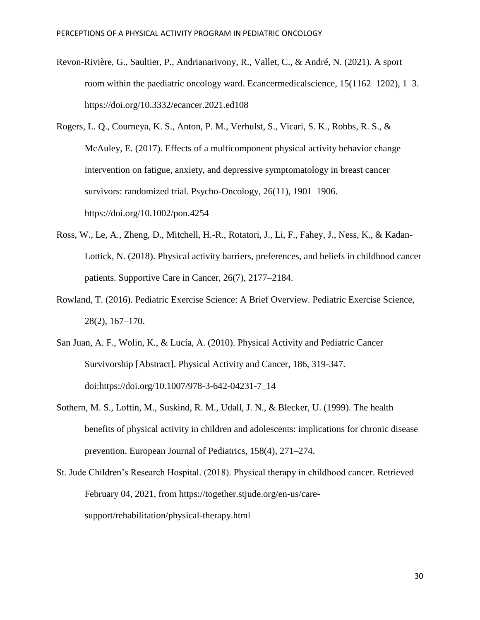- Revon-Rivière, G., Saultier, P., Andrianarivony, R., Vallet, C., & André, N. (2021). A sport room within the paediatric oncology ward. Ecancermedicalscience, 15(1162–1202), 1–3. https://doi.org/10.3332/ecancer.2021.ed108
- Rogers, L. Q., Courneya, K. S., Anton, P. M., Verhulst, S., Vicari, S. K., Robbs, R. S., & McAuley, E. (2017). Effects of a multicomponent physical activity behavior change intervention on fatigue, anxiety, and depressive symptomatology in breast cancer survivors: randomized trial. Psycho-Oncology, 26(11), 1901–1906. https://doi.org/10.1002/pon.4254
- Ross, W., Le, A., Zheng, D., Mitchell, H.-R., Rotatori, J., Li, F., Fahey, J., Ness, K., & Kadan-Lottick, N. (2018). Physical activity barriers, preferences, and beliefs in childhood cancer patients. Supportive Care in Cancer, 26(7), 2177–2184.
- Rowland, T. (2016). Pediatric Exercise Science: A Brief Overview. Pediatric Exercise Science, 28(2), 167–170.
- San Juan, A. F., Wolin, K., & Lucía, A. (2010). Physical Activity and Pediatric Cancer Survivorship [Abstract]. Physical Activity and Cancer, 186, 319-347. doi:https://doi.org/10.1007/978-3-642-04231-7\_14
- Sothern, M. S., Loftin, M., Suskind, R. M., Udall, J. N., & Blecker, U. (1999). The health benefits of physical activity in children and adolescents: implications for chronic disease prevention. European Journal of Pediatrics, 158(4), 271–274.
- St. Jude Children's Research Hospital. (2018). Physical therapy in childhood cancer. Retrieved February 04, 2021, from https://together.stjude.org/en-us/caresupport/rehabilitation/physical-therapy.html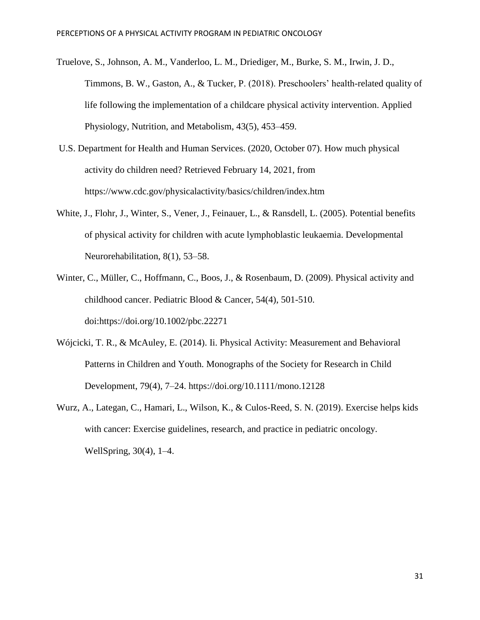Truelove, S., Johnson, A. M., Vanderloo, L. M., Driediger, M., Burke, S. M., Irwin, J. D., Timmons, B. W., Gaston, A., & Tucker, P. (2018). Preschoolers' health-related quality of life following the implementation of a childcare physical activity intervention. Applied Physiology, Nutrition, and Metabolism, 43(5), 453–459.

- U.S. Department for Health and Human Services. (2020, October 07). How much physical activity do children need? Retrieved February 14, 2021, from https://www.cdc.gov/physicalactivity/basics/children/index.htm
- White, J., Flohr, J., Winter, S., Vener, J., Feinauer, L., & Ransdell, L. (2005). Potential benefits of physical activity for children with acute lymphoblastic leukaemia. Developmental Neurorehabilitation, 8(1), 53–58.
- Winter, C., Müller, C., Hoffmann, C., Boos, J., & Rosenbaum, D. (2009). Physical activity and childhood cancer. Pediatric Blood & Cancer, 54(4), 501-510. doi:https://doi.org/10.1002/pbc.22271
- Wójcicki, T. R., & McAuley, E. (2014). Ii. Physical Activity: Measurement and Behavioral Patterns in Children and Youth. Monographs of the Society for Research in Child Development, 79(4), 7–24. https://doi.org/10.1111/mono.12128
- Wurz, A., Lategan, C., Hamari, L., Wilson, K., & Culos-Reed, S. N. (2019). Exercise helps kids with cancer: Exercise guidelines, research, and practice in pediatric oncology. WellSpring, 30(4), 1–4.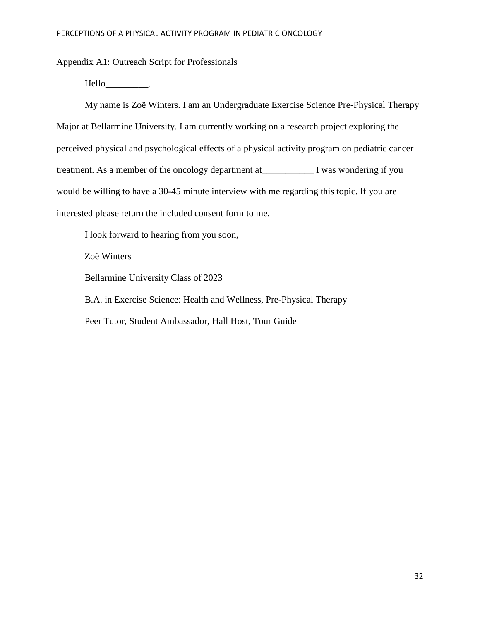Appendix A1: Outreach Script for Professionals

Hello\_\_\_\_\_\_\_\_\_,

My name is Zoë Winters. I am an Undergraduate Exercise Science Pre-Physical Therapy Major at Bellarmine University. I am currently working on a research project exploring the perceived physical and psychological effects of a physical activity program on pediatric cancer treatment. As a member of the oncology department at\_\_\_\_\_\_\_\_\_\_\_ I was wondering if you would be willing to have a 30-45 minute interview with me regarding this topic. If you are interested please return the included consent form to me.

I look forward to hearing from you soon,

Zoë Winters

Bellarmine University Class of 2023

B.A. in Exercise Science: Health and Wellness, Pre-Physical Therapy Peer Tutor, Student Ambassador, Hall Host, Tour Guide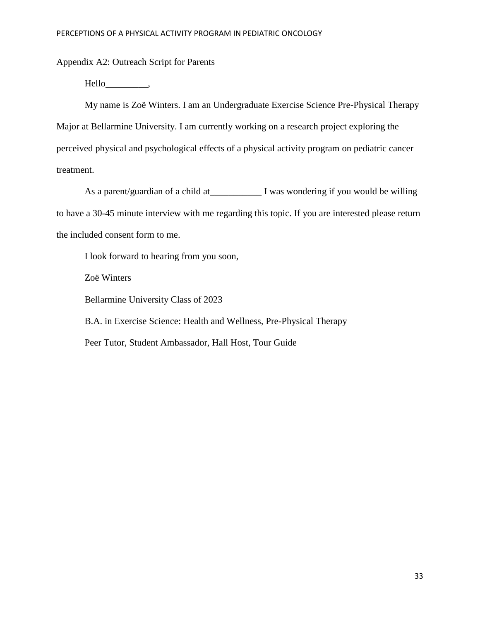Appendix A2: Outreach Script for Parents

Hello\_\_\_\_\_\_\_\_\_,

My name is Zoë Winters. I am an Undergraduate Exercise Science Pre-Physical Therapy Major at Bellarmine University. I am currently working on a research project exploring the perceived physical and psychological effects of a physical activity program on pediatric cancer treatment.

As a parent/guardian of a child at I was wondering if you would be willing to have a 30-45 minute interview with me regarding this topic. If you are interested please return the included consent form to me.

I look forward to hearing from you soon, Zoë Winters Bellarmine University Class of 2023 B.A. in Exercise Science: Health and Wellness, Pre-Physical Therapy Peer Tutor, Student Ambassador, Hall Host, Tour Guide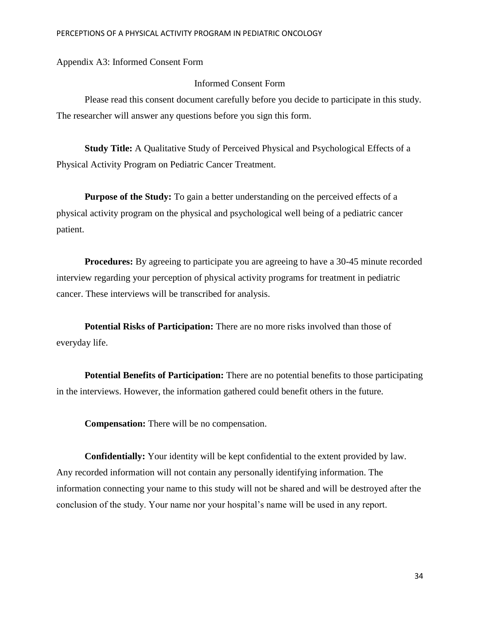Appendix A3: Informed Consent Form

## Informed Consent Form

Please read this consent document carefully before you decide to participate in this study. The researcher will answer any questions before you sign this form.

**Study Title:** A Qualitative Study of Perceived Physical and Psychological Effects of a Physical Activity Program on Pediatric Cancer Treatment.

**Purpose of the Study:** To gain a better understanding on the perceived effects of a physical activity program on the physical and psychological well being of a pediatric cancer patient.

**Procedures:** By agreeing to participate you are agreeing to have a 30-45 minute recorded interview regarding your perception of physical activity programs for treatment in pediatric cancer. These interviews will be transcribed for analysis.

**Potential Risks of Participation:** There are no more risks involved than those of everyday life.

**Potential Benefits of Participation:** There are no potential benefits to those participating in the interviews. However, the information gathered could benefit others in the future.

**Compensation:** There will be no compensation.

**Confidentially:** Your identity will be kept confidential to the extent provided by law. Any recorded information will not contain any personally identifying information. The information connecting your name to this study will not be shared and will be destroyed after the conclusion of the study. Your name nor your hospital's name will be used in any report.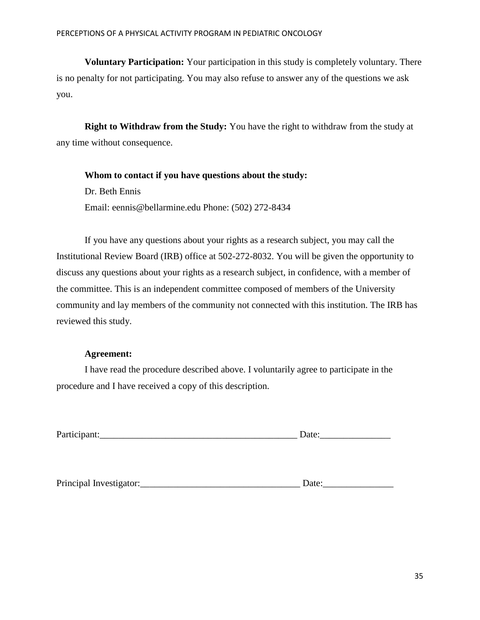**Voluntary Participation:** Your participation in this study is completely voluntary. There is no penalty for not participating. You may also refuse to answer any of the questions we ask you.

**Right to Withdraw from the Study:** You have the right to withdraw from the study at any time without consequence.

**Whom to contact if you have questions about the study:** Dr. Beth Ennis Email: eennis@bellarmine.edu Phone: (502) 272-8434

If you have any questions about your rights as a research subject, you may call the Institutional Review Board (IRB) office at 502-272-8032. You will be given the opportunity to discuss any questions about your rights as a research subject, in confidence, with a member of the committee. This is an independent committee composed of members of the University community and lay members of the community not connected with this institution. The IRB has reviewed this study.

## **Agreement:**

I have read the procedure described above. I voluntarily agree to participate in the procedure and I have received a copy of this description.

| Participant: |  |
|--------------|--|
|              |  |

Principal Investigator: The set of the set of the set of the set of the set of the set of the set of the set of the set of the set of the set of the set of the set of the set of the set of the set of the set of the set of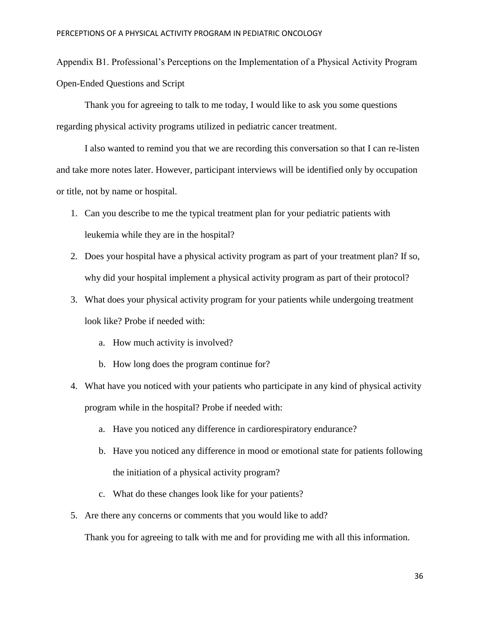Appendix B1. Professional's Perceptions on the Implementation of a Physical Activity Program Open-Ended Questions and Script

Thank you for agreeing to talk to me today, I would like to ask you some questions regarding physical activity programs utilized in pediatric cancer treatment.

I also wanted to remind you that we are recording this conversation so that I can re-listen and take more notes later. However, participant interviews will be identified only by occupation or title, not by name or hospital.

- 1. Can you describe to me the typical treatment plan for your pediatric patients with leukemia while they are in the hospital?
- 2. Does your hospital have a physical activity program as part of your treatment plan? If so, why did your hospital implement a physical activity program as part of their protocol?
- 3. What does your physical activity program for your patients while undergoing treatment look like? Probe if needed with:
	- a. How much activity is involved?
	- b. How long does the program continue for?
- 4. What have you noticed with your patients who participate in any kind of physical activity program while in the hospital? Probe if needed with:
	- a. Have you noticed any difference in cardiorespiratory endurance?
	- b. Have you noticed any difference in mood or emotional state for patients following the initiation of a physical activity program?
	- c. What do these changes look like for your patients?
- 5. Are there any concerns or comments that you would like to add?

Thank you for agreeing to talk with me and for providing me with all this information.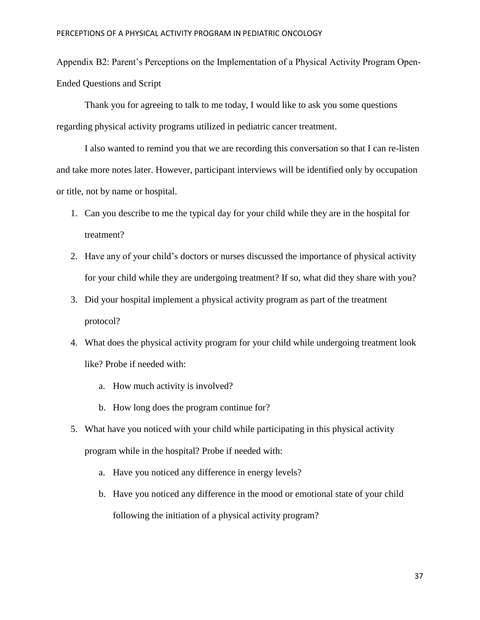Appendix B2: Parent's Perceptions on the Implementation of a Physical Activity Program Open-Ended Questions and Script

Thank you for agreeing to talk to me today, I would like to ask you some questions regarding physical activity programs utilized in pediatric cancer treatment.

I also wanted to remind you that we are recording this conversation so that I can re-listen and take more notes later. However, participant interviews will be identified only by occupation or title, not by name or hospital.

- 1. Can you describe to me the typical day for your child while they are in the hospital for treatment?
- 2. Have any of your child's doctors or nurses discussed the importance of physical activity for your child while they are undergoing treatment? If so, what did they share with you?
- 3. Did your hospital implement a physical activity program as part of the treatment protocol?
- 4. What does the physical activity program for your child while undergoing treatment look like? Probe if needed with:
	- a. How much activity is involved?
	- b. How long does the program continue for?
- 5. What have you noticed with your child while participating in this physical activity program while in the hospital? Probe if needed with:
	- a. Have you noticed any difference in energy levels?
	- b. Have you noticed any difference in the mood or emotional state of your child following the initiation of a physical activity program?